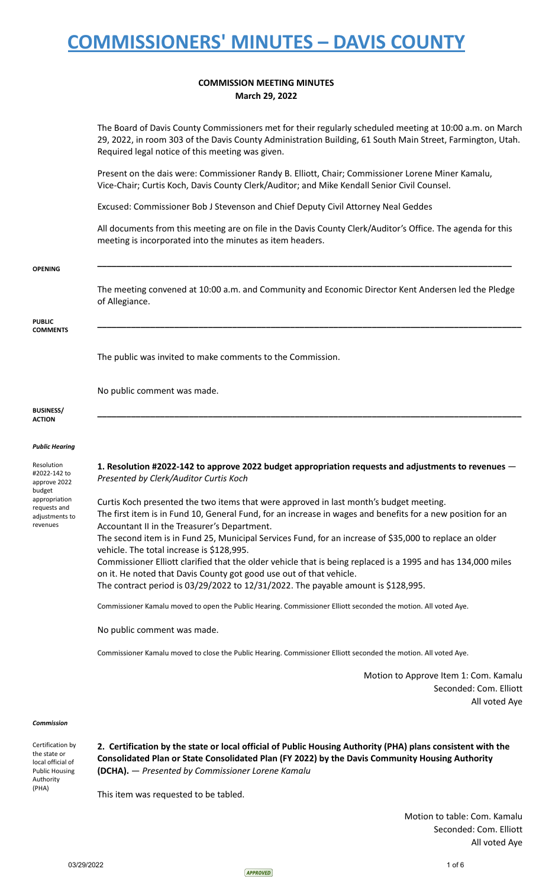### **COMMISSION MEETING MINUTES March 29, 2022**

The Board of Davis County Commissioners met for their regularly scheduled meeting at 10:00 a.m. on March 29, 2022, in room 303 of the Davis County Administration Building, 61 South Main Street, Farmington, Utah. Required legal notice of this meeting was given.

Present on the dais were: Commissioner Randy B. Elliott, Chair; Commissioner Lorene Miner Kamalu, Vice-Chair; Curtis Koch, Davis County Clerk/Auditor; and Mike Kendall Senior Civil Counsel.

Excused: Commissioner Bob J Stevenson and Chief Deputy Civil Attorney Neal Geddes

All documents from this meeting are on file in the Davis County Clerk/Auditor's Office. The agenda for this meeting is incorporated into the minutes as item headers.

|                                                             | on abcaments non-tins inceting are on me in the bavis county cienty tiantor's Omice. The agenta for this<br>meeting is incorporated into the minutes as item headers.                                                                                 |
|-------------------------------------------------------------|-------------------------------------------------------------------------------------------------------------------------------------------------------------------------------------------------------------------------------------------------------|
| <b>OPENING</b>                                              |                                                                                                                                                                                                                                                       |
|                                                             | The meeting convened at 10:00 a.m. and Community and Economic Director Kent Andersen led the Pledge<br>of Allegiance.                                                                                                                                 |
| <b>PUBLIC</b><br><b>COMMENTS</b>                            |                                                                                                                                                                                                                                                       |
|                                                             | The public was invited to make comments to the Commission.                                                                                                                                                                                            |
|                                                             | No public comment was made.                                                                                                                                                                                                                           |
| <b>BUSINESS/</b><br><b>ACTION</b>                           |                                                                                                                                                                                                                                                       |
| <b>Public Hearing</b>                                       |                                                                                                                                                                                                                                                       |
| Resolution<br>#2022-142 to<br>approve 2022<br>budget        | 1. Resolution #2022-142 to approve 2022 budget appropriation requests and adjustments to revenues -<br>Presented by Clerk/Auditor Curtis Koch                                                                                                         |
| appropriation<br>requests and<br>adjustments to<br>revenues | Curtis Koch presented the two items that were approved in last month's budget meeting.<br>The first item is in Fund 10, General Fund, for an increase in wages and benefits for a new position for an<br>Accountant II in the Treasurer's Department. |
|                                                             | The second item is in Fund 25, Municipal Services Fund, for an increase of \$35,000 to replace an older<br>vehicle. The total increase is \$128,995.                                                                                                  |
|                                                             | Commissioner Elliott clarified that the older vehicle that is being replaced is a 1995 and has 134,000 miles<br>on it. He noted that Davis County got good use out of that vehicle.                                                                   |
|                                                             | The contract period is $03/29/2022$ to $12/31/2022$ . The payable amount is \$128,995.                                                                                                                                                                |
|                                                             | Commissioner Kamalu moved to open the Public Hearing. Commissioner Elliott seconded the motion. All voted Aye.                                                                                                                                        |
|                                                             | No public comment was made.                                                                                                                                                                                                                           |
|                                                             | Commissioner Kamalu moved to close the Public Hearing. Commissioner Elliott seconded the motion. All voted Aye.                                                                                                                                       |
|                                                             | Motion to Approve Item 1: Com. Kamalu<br>Seconded: Com. Elliott                                                                                                                                                                                       |

All voted Aye

*Commission*

Certification by the state or local official of Public Housing Authority (PHA)

2. Certification by the state or local official of Public Housing Authority (PHA) plans consistent with the **Consolidated Plan or State Consolidated Plan (FY 2022) by the Davis Community Housing Authority (DCHA).** — *Presented by Commissioner Lorene Kamalu*

This item was requested to be tabled.

Motion to table: Com. Kamalu Seconded: Com. Elliott All voted Aye

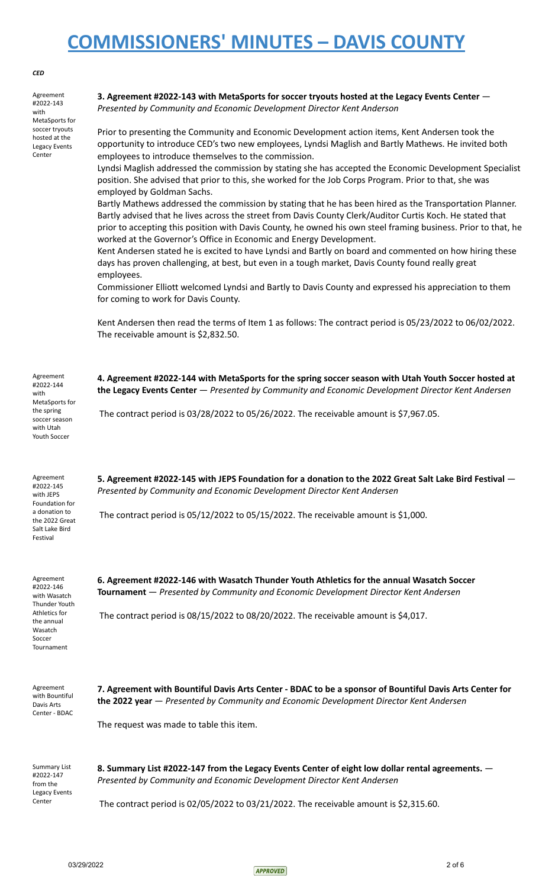### *CED*

Agreement #2022-143 with MetaSports for soccer tryouts hosted at the Legacy Events Center

Agreement #2022-144 with MetaSports for the spring soccer season with Utah Youth Soccer

Agreement #2022-145 with JEPS Foundation for a donation to the 2022 Great Salt Lake Bird Festival

**3. Agreement #2022-143 with MetaSports for soccer tryouts hosted at the Legacy Events Center** — *Presented by Community and Economic Development Director Kent Anderson*

Prior to presenting the Community and Economic Development action items, Kent Andersen took the opportunity to introduce CED's two new employees, Lyndsi Maglish and Bartly Mathews. He invited both employees to introduce themselves to the commission.

Lyndsi Maglish addressed the commission by stating she has accepted the Economic Development Specialist position. She advised that prior to this, she worked for the Job Corps Program. Prior to that, she was employed by Goldman Sachs.

Bartly Mathews addressed the commission by stating that he has been hired as the Transportation Planner. Bartly advised that he lives across the street from Davis County Clerk/Auditor Curtis Koch. He stated that prior to accepting this position with Davis County, he owned his own steel framing business. Prior to that, he worked at the Governor's Office in Economic and Energy Development.

Kent Andersen stated he is excited to have Lyndsi and Bartly on board and commented on how hiring these days has proven challenging, at best, but even in a tough market, Davis County found really great employees.

Commissioner Elliott welcomed Lyndsi and Bartly to Davis County and expressed his appreciation to them for coming to work for Davis County.

Kent Andersen then read the terms of Item 1 as follows: The contract period is 05/23/2022 to 06/02/2022. The receivable amount is \$2,832.50.

**4. Agreement #2022-144 with MetaSports for the spring soccer season with Utah Youth Soccer hosted at the Legacy Events Center** — *Presented by Community and Economic Development Director Kent Andersen*

The contract period is 03/28/2022 to 05/26/2022. The receivable amount is \$7,967.05.

**5. Agreement #2022-145 with JEPS Foundation for a donation to the 2022 Great Salt Lake Bird Festival** — *Presented by Community and Economic Development Director Kent Andersen*

The contract period is 05/12/2022 to 05/15/2022. The receivable amount is \$1,000.

Agreement #2022-146 with Wasatch Thunder Youth Athletics for the annual Wasatch Soccer Tournament

**6. Agreement #2022-146 with Wasatch Thunder Youth Athletics for the annual Wasatch Soccer Tournament** — *Presented by Community and Economic Development Director Kent Andersen*

The contract period is 08/15/2022 to 08/20/2022. The receivable amount is \$4,017.

Agreement with Bountiful Davis Arts Center - BDAC 7. Agreement with Bountiful Davis Arts Center - BDAC to be a sponsor of Bountiful Davis Arts Center for **the 2022 year** — *Presented by Community and Economic Development Director Kent Andersen*

The request was made to table this item.

Summary List #2022-147 from the Legacy Events Center

**8. Summary List #2022-147 from the Legacy Events Center of eight low dollar rental agreements.** — *Presented by Community and Economic Development Director Kent Andersen*

The contract period is 02/05/2022 to 03/21/2022. The receivable amount is \$2,315.60.

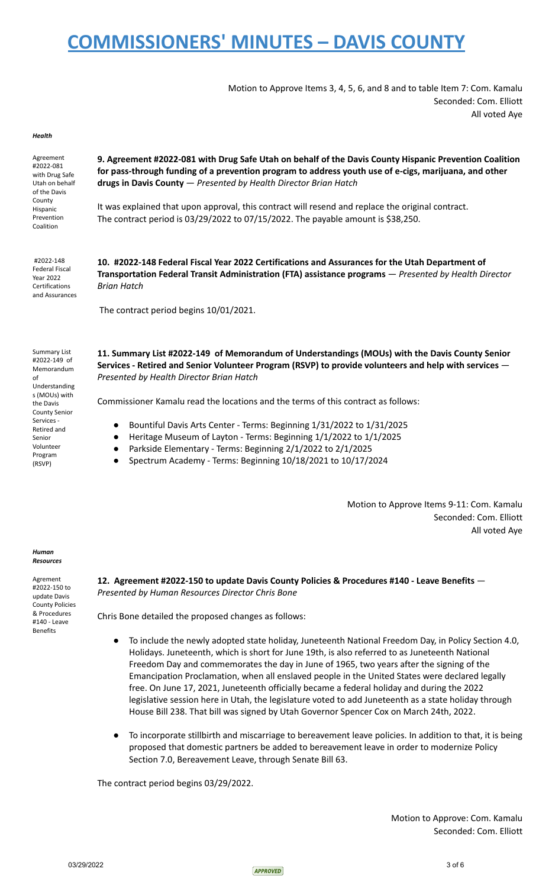Motion to Approve Items 3, 4, 5, 6, and 8 and to table Item 7: Com. Kamalu Seconded: Com. Elliott All voted Aye

#### *Health*

Agreement #2022-081 with Drug Safe Utah on behalf of the Davis County Hispanic Prevention Coalition

**9. Agreement #2022-081 with Drug Safe Utah on behalf of the Davis County Hispanic Prevention Coalition for pass-through funding of a prevention program to address youth use of e-cigs, marijuana, and other drugs in Davis County** — *Presented by Health Director Brian Hatch*

It was explained that upon approval, this contract will resend and replace the original contract. The contract period is 03/29/2022 to 07/15/2022. The payable amount is \$38,250.

#2022-148 Federal Fiscal Year 2022 Certifications and Assurances

**10. #2022-148 Federal Fiscal Year 2022 Certifications and Assurances for the Utah Department of Transportation Federal Transit Administration (FTA) assistance programs** — *Presented by Health Director Brian Hatch*

The contract period begins 10/01/2021.

Summary List #2022-149 of Memorandum of Understanding s (MOUs) with the Davis County Senior Services - Retired and Senior Volunteer Program (RSVP)

**11. Summary List #2022-149 of Memorandum of Understandings (MOUs) with the Davis County Senior Services - Retired and Senior Volunteer Program (RSVP) to provide volunteers and help with services** — *Presented by Health Director Brian Hatch*

Commissioner Kamalu read the locations and the terms of this contract as follows:

- Bountiful Davis Arts Center Terms: Beginning 1/31/2022 to 1/31/2025
- Heritage Museum of Layton Terms: Beginning 1/1/2022 to 1/1/2025
- Parkside Elementary Terms: Beginning 2/1/2022 to 2/1/2025
- Spectrum Academy Terms: Beginning 10/18/2021 to 10/17/2024

Motion to Approve Items 9-11: Com. Kamalu Seconded: Com. Elliott All voted Aye

*Human Resources*

Agrement #2022-150 to update Davis County Policies & Procedures #140 - Leave Benefits

**12. Agreement #2022-150 to update Davis County Policies & Procedures #140 - Leave Benefits** — *Presented by Human Resources Director Chris Bone*

Chris Bone detailed the proposed changes as follows:

- To include the newly adopted state holiday, Juneteenth National Freedom Day, in Policy Section 4.0, Holidays. Juneteenth, which is short for June 19th, is also referred to as Juneteenth National Freedom Day and commemorates the day in June of 1965, two years after the signing of the Emancipation Proclamation, when all enslaved people in the United States were declared legally free. On June 17, 2021, Juneteenth officially became a federal holiday and during the 2022 legislative session here in Utah, the legislature voted to add Juneteenth as a state holiday through House Bill 238. That bill was signed by Utah Governor Spencer Cox on March 24th, 2022.
- To incorporate stillbirth and miscarriage to bereavement leave policies. In addition to that, it is being proposed that domestic partners be added to bereavement leave in order to modernize Policy Section 7.0, Bereavement Leave, through Senate Bill 63.

The contract period begins 03/29/2022.

Motion to Approve: Com. Kamalu Seconded: Com. Elliott

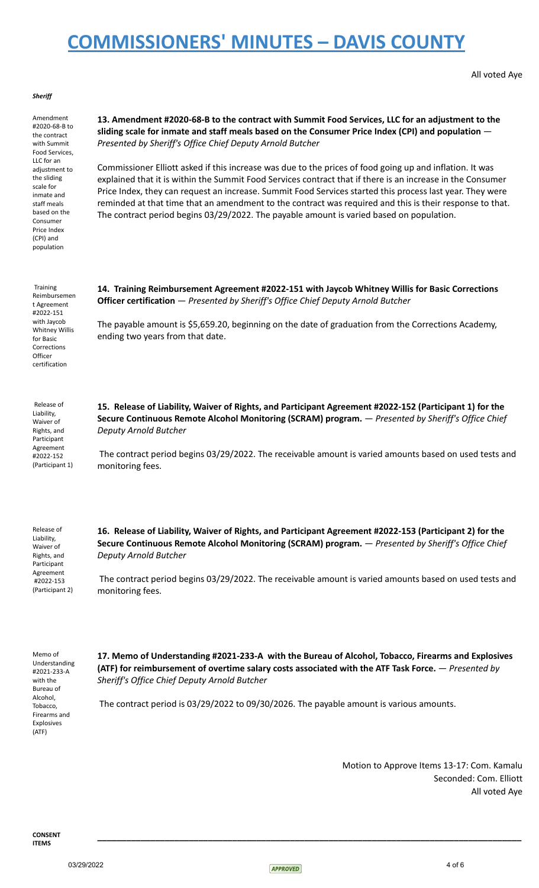#### *Sheriff*

Amendment #2020-68-B to the contract with Summit Food Services, LLC for an adjustment to the sliding scale for inmate and staff meals based on the Consumer Price Index (CPI) and population

**13. Amendment #2020-68-B to the contract with Summit Food Services, LLC for an adjustment to the sliding scale for inmate and staff meals based on the Consumer Price Index (CPI) and population** — *Presented by Sheriff's Office Chief Deputy Arnold Butcher*

Commissioner Elliott asked if this increase was due to the prices of food going up and inflation. It was explained that it is within the Summit Food Services contract that if there is an increase in the Consumer Price Index, they can request an increase. Summit Food Services started this process last year. They were reminded at that time that an amendment to the contract was required and this is their response to that. The contract period begins 03/29/2022. The payable amount is varied based on population.

Training Reimbursemen t Agreement #2022-151 with Jaycob Whitney Willis for Basic Corrections Officer certification

**14. Training Reimbursement Agreement #2022-151 with Jaycob Whitney Willis for Basic Corrections Officer certification** — *Presented by Sheriff's Office Chief Deputy Arnold Butcher*

The payable amount is \$5,659.20, beginning on the date of graduation from the Corrections Academy, ending two years from that date.

Release of Liability, Waiver of Rights, and Participant Agreement #2022-152 (Participant 1)

**15. Release of Liability, Waiver of Rights, and Participant Agreement #2022-152 (Participant 1) for the Secure Continuous Remote Alcohol Monitoring (SCRAM) program.** — *Presented by Sheriff's Office Chief Deputy Arnold Butcher*

The contract period begins 03/29/2022. The receivable amount is varied amounts based on used tests and monitoring fees.

Release of Liability, Waiver of Rights, and Participant Agreement #2022-153 (Participant 2) **16. Release of Liability, Waiver of Rights, and Participant Agreement #2022-153 (Participant 2) for the Secure Continuous Remote Alcohol Monitoring (SCRAM) program.** — *Presented by Sheriff's Office Chief Deputy Arnold Butcher*

The contract period begins 03/29/2022. The receivable amount is varied amounts based on used tests and monitoring fees.

Memo of Understanding #2021-233-A with the Bureau of Alcohol, Tobacco, Firearms and Explosives (ATF)

**17. Memo of Understanding #2021-233-A with the Bureau of Alcohol, Tobacco, Firearms and Explosives (ATF) for reimbursement of overtime salary costs associated with the ATF Task Force.** — *Presented by Sheriff's Office Chief Deputy Arnold Butcher*

The contract period is 03/29/2022 to 09/30/2026. The payable amount is various amounts.

Motion to Approve Items 13-17: Com. Kamalu Seconded: Com. Elliott All voted Aye



**\_\_\_\_\_\_\_\_\_\_\_\_\_\_\_\_\_\_\_\_\_\_\_\_\_\_\_\_\_\_\_\_\_\_\_\_\_\_\_\_\_\_\_\_\_\_\_\_\_\_\_\_\_\_\_\_\_\_\_\_\_\_\_\_\_\_\_\_\_\_\_\_\_\_\_\_\_\_\_\_\_\_\_\_\_\_\_\_**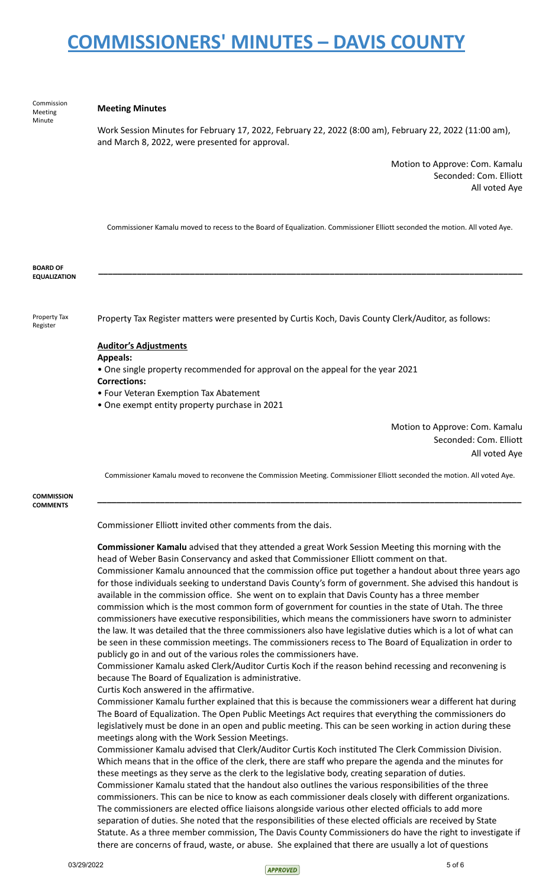Commission Meeting Minute

### **Meeting Minutes**

Work Session Minutes for February 17, 2022, February 22, 2022 (8:00 am), February 22, 2022 (11:00 am), and March 8, 2022, were presented for approval.

> Motion to Approve: Com. Kamalu Seconded: Com. Elliott All voted Aye

Commissioner Kamalu moved to recess to the Board of Equalization. Commissioner Elliott seconded the motion. All voted Aye.

**\_\_\_\_\_\_\_\_\_\_\_\_\_\_\_\_\_\_\_\_\_\_\_\_\_\_\_\_\_\_\_\_\_\_\_\_\_\_\_\_\_\_\_\_\_\_\_\_\_\_\_\_\_\_\_\_\_\_\_\_\_\_\_\_\_\_\_\_\_\_\_\_\_\_\_\_\_\_\_\_\_\_\_\_\_\_\_\_**

**BOARD OF EQUALIZATION**

Property Tax

**Register** 

Property Tax Register matters were presented by Curtis Koch, Davis County Clerk/Auditor, as follows:

### **Auditor's Adjustments**

**Appeals:**

• One single property recommended for approval on the appeal for the year 2021

### **Corrections:**

- Four Veteran Exemption Tax Abatement
- One exempt entity property purchase in 2021

Motion to Approve: Com. Kamalu Seconded: Com. Elliott All voted Aye

Commissioner Kamalu moved to reconvene the Commission Meeting. Commissioner Elliott seconded the motion. All voted Aye.

**\_\_\_\_\_\_\_\_\_\_\_\_\_\_\_\_\_\_\_\_\_\_\_\_\_\_\_\_\_\_\_\_\_\_\_\_\_\_\_\_\_\_\_\_\_\_\_\_\_\_\_\_\_\_\_\_\_\_\_\_\_\_\_\_\_\_\_\_\_\_\_\_\_\_\_\_\_\_\_\_\_\_\_\_\_\_\_\_**

**COMMISSION COMMENTS**

Commissioner Elliott invited other comments from the dais.

**Commissioner Kamalu** advised that they attended a great Work Session Meeting this morning with the head of Weber Basin Conservancy and asked that Commissioner Elliott comment on that.

Commissioner Kamalu announced that the commission office put together a handout about three years ago for those individuals seeking to understand Davis County's form of government. She advised this handout is available in the commission office. She went on to explain that Davis County has a three member commission which is the most common form of government for counties in the state of Utah. The three commissioners have executive responsibilities, which means the commissioners have sworn to administer the law. It was detailed that the three commissioners also have legislative duties which is a lot of what can be seen in these commission meetings. The commissioners recess to The Board of Equalization in order to publicly go in and out of the various roles the commissioners have.

Commissioner Kamalu asked Clerk/Auditor Curtis Koch if the reason behind recessing and reconvening is because The Board of Equalization is administrative.

Curtis Koch answered in the affirmative.

Commissioner Kamalu further explained that this is because the commissioners wear a different hat during The Board of Equalization. The Open Public Meetings Act requires that everything the commissioners do legislatively must be done in an open and public meeting. This can be seen working in action during these meetings along with the Work Session Meetings.

Commissioner Kamalu advised that Clerk/Auditor Curtis Koch instituted The Clerk Commission Division. Which means that in the office of the clerk, there are staff who prepare the agenda and the minutes for these meetings as they serve as the clerk to the legislative body, creating separation of duties. Commissioner Kamalu stated that the handout also outlines the various responsibilities of the three commissioners. This can be nice to know as each commissioner deals closely with different organizations. The commissioners are elected office liaisons alongside various other elected officials to add more separation of duties. She noted that the responsibilities of these elected officials are received by State Statute. As a three member commission, The Davis County Commissioners do have the right to investigate if there are concerns of fraud, waste, or abuse. She explained that there are usually a lot of questions